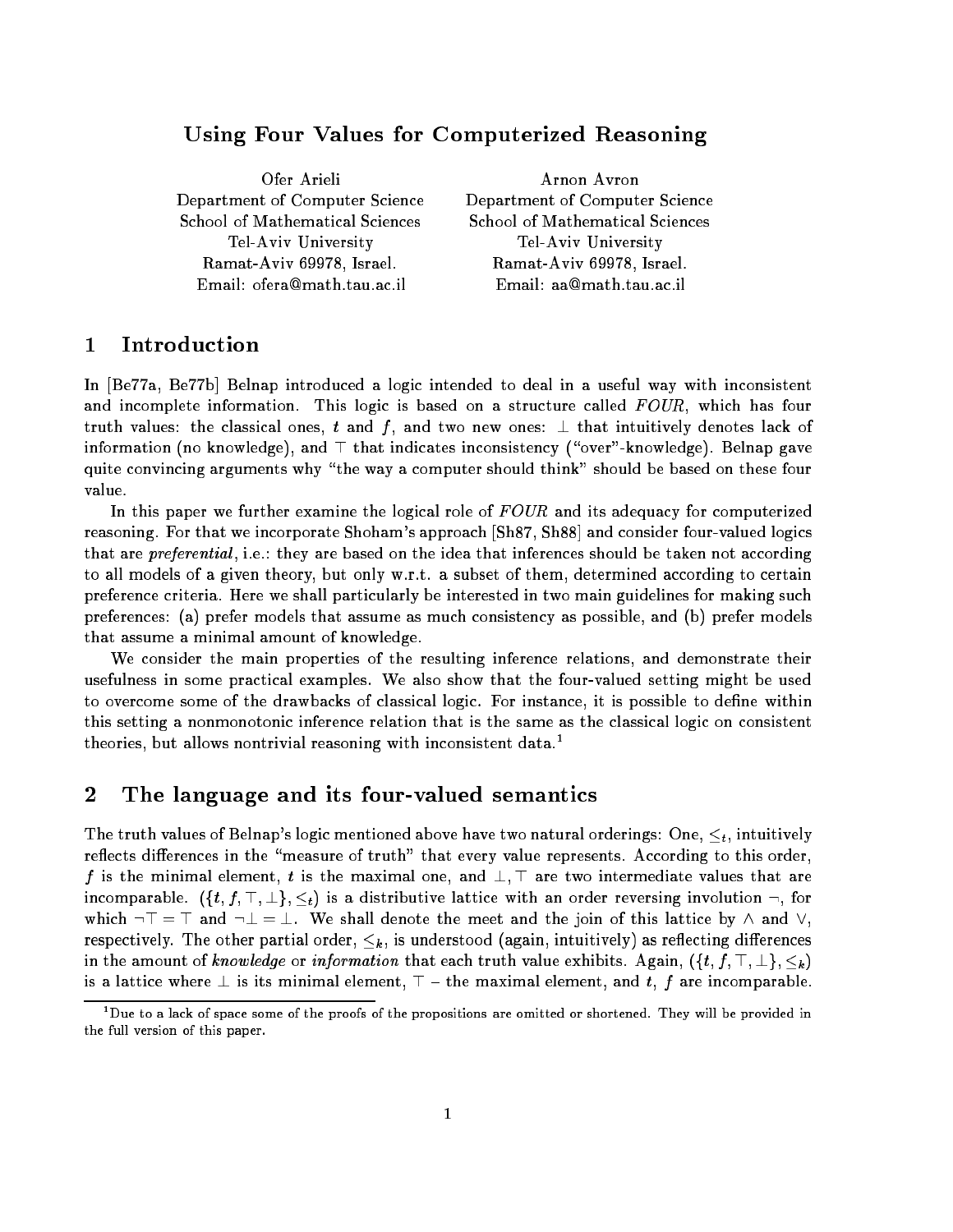# Using Four Values for Computerized Reasoning

| Arnon Avron                     |
|---------------------------------|
| Department of Computer Science  |
| School of Mathematical Sciences |
| Tel-Aviv University             |
| Ramat-Aviv 69978, Israel.       |
| Email: aa@math.tau.ac.il        |
|                                 |

#### Introduction 1

In [Be77a, Be77b] Belnap introduced a logic intended to deal in a useful way with inconsistent and incomplete information. This logic is based on a structure called  $FOUR$ , which has four truth values: the classical ones, t and f, and two new ones:  $\perp$  that intuitively denotes lack of information (no knowledge), and  $\top$  that indicates inconsistency ("over"-knowledge). Belnap gave quite convincing arguments why "the way a computer should think" should be based on these four value.

In this paper we further examine the logical role of  $FOUR$  and its adequacy for computerized reasoning. For that we incorporate Shoham's approach [Sh87, Sh88] and consider four-valued logics that are *preferential*, i.e.: they are based on the idea that inferences should be taken not according to all models of a given theory, but only w.r.t. a subset of them, determined according to certain preference criteria. Here we shall particularly be interested in two main guidelines for making such preferences: (a) prefer models that assume as much consistency as possible, and (b) prefer models that assume a minimal amount of knowledge.

We consider the main properties of the resulting inference relations, and demonstrate their usefulness in some practical examples. We also show that the four-valued setting might be used to overcome some of the drawbacks of classical logic. For instance, it is possible to define within this setting a nonmonotonic inference relation that is the same as the classical logic on consistent theories, but allows nontrivial reasoning with inconsistent data.<sup>1</sup>

#### 2The language and its four-valued semantics

The truth values of Belnap's logic mentioned above have two natural orderings: One,  $\leq_t$ , intuitively reflects differences in the "measure of truth" that every value represents. According to this order, f is the minimal element, t is the maximal one, and  $\perp$ ,  $\top$  are two intermediate values that are incomparable.  $(\{t, f, \top, \bot\}, \leq_t)$  is a distributive lattice with an order reversing involution  $\neg$ , for which  $\neg$   $\top$  =  $\top$  and  $\neg$   $\bot$  =  $\bot$ . We shall denote the meet and the join of this lattice by  $\land$  and  $\lor$ , respectively. The other partial order,  $\leq_k$ , is understood (again, intuitively) as reflecting differences in the amount of knowledge or information that each truth value exhibits. Again,  $(\{t, f, \top, \bot\}, \leq_k)$ is a lattice where  $\perp$  is its minimal element,  $\top$  – the maximal element, and t, f are incomparable.

<sup>1</sup> Due to a lack of space some of the proofs of the propositions are omitted or shortened. They will be provided in the full version of this paper.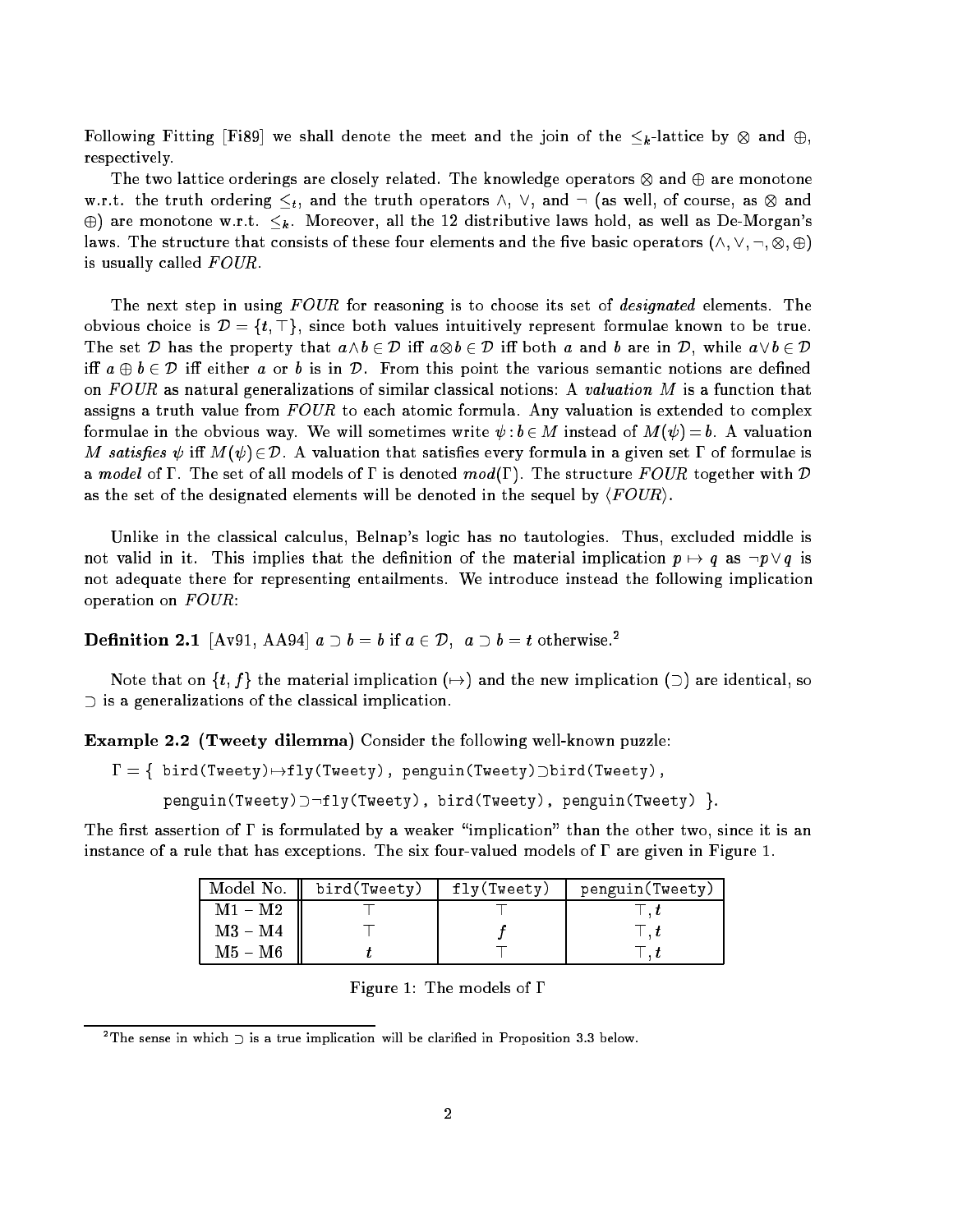Following Fitting [Fi89] we shall denote the meet and the join of the k -lattice by and , respectively.

The two lattice orderings are closely related. The knowledge operators and are monotone w.r.t. the truth ordering the truth ordering the truth ordering the truth order of course, as well, ordering the truth of course, and  $\sim$  $\oplus$ ) are monotone w.r.t.  $\leq_k$ . Moreover, all the 12 distributive laws hold, as well as De-Morgan's . The structure that consists of these four elements and the structure  $\mathcal{L}_{\mathcal{P}}$  is  $\mathcal{L}_{\mathcal{P}}$  . is usually called  $FOUR$ .

The next step in using FOUR for reasoning is to choose its set of *designated* elements. The obvious choice is  $\mathcal{D} = \{t, \top\}$ , since both values intuitively represent formulae known to be true. The set  $D$  is defined as the property that absolute a and both a and b are in D, while and b are in D, while and b are in D, while and b are in D, while and b are in D, while and b are in D, while and b are in D, while a iff  $a \oplus b \in \mathcal{D}$  iff either a or b is in  $\mathcal{D}$ . From this point the various semantic notions are defined on FOUR as natural generalizations of similar classical notions: A valuation M is a function that assigns a truth value from  $FOUR$  to each atomic formula. Any valuation is extended to complex formulae in the obvious way. We will sometimes write  $\psi : b \in M$  instead of  $M(\psi) = b$ . A valuation M satisfies  $\psi$  iff  $M(\psi) \in \mathcal{D}$ . A valuation that satisfies every formula in a given set  $\Gamma$  of formulae is a model of  $\Gamma$ . The set of all models of  $\Gamma$  is denoted mod( $\Gamma$ ). The structure FOUR together with D as the set of the designated elements will be denoted in the sequel by  $\langle \text{FOUR} \rangle$ .

Unlike in the classical calculus, Belnap's logic has no tautologies. Thus, excluded middle is not valid in it. This implies that the definition of the material implication  $p \mapsto q$  as  $\neg p \vee q$  is not adequate there for representing entailments. We introduce instead the following implication operation on  $FOUR$ :

**Definition 2.1** [Av91, AA94]  $a \supset b = b$  if  $a \in \mathcal{D}$ ,  $a \supset b = t$  otherwise.<sup>2</sup>

Note that on  $\{t,f\}$  the material implication  $(\rightarrow)$  and the new implication  $(\supset)$  are identical, so  $\supset$  is a generalizations of the classical implication.

Example 2.2 (Tweety dilemma) Consider the following well-known puzzle:

```
\Gamma = \{\text{bird(Tweety)} \mapsto fly(Tweety), \text{penguin(Tweety)})bird(Tweety),
       penguin(Tweety)\supset \neg fly(Tweety), bird(Tweety), penguin(Tweety) }.
```
The first assertion of  $\Gamma$  is formulated by a weaker "implication" than the other two, since it is an instance of a rule that has exceptions. The six four-valued models of  $\Gamma$  are given in Figure 1.

|           | Model No. $\parallel$ bird(Tweety) | fly(Tweety) | penguin (Tweety) |
|-----------|------------------------------------|-------------|------------------|
| $M1 - M2$ |                                    |             |                  |
| $M3 - M4$ |                                    |             |                  |
| M5 – M6   |                                    |             |                  |

Figure 1: The models of  $\Gamma$ 

 $^{\circ}$  The sense in which  $\supset$  is a true implication will be clarified in Proposition 3.3 below.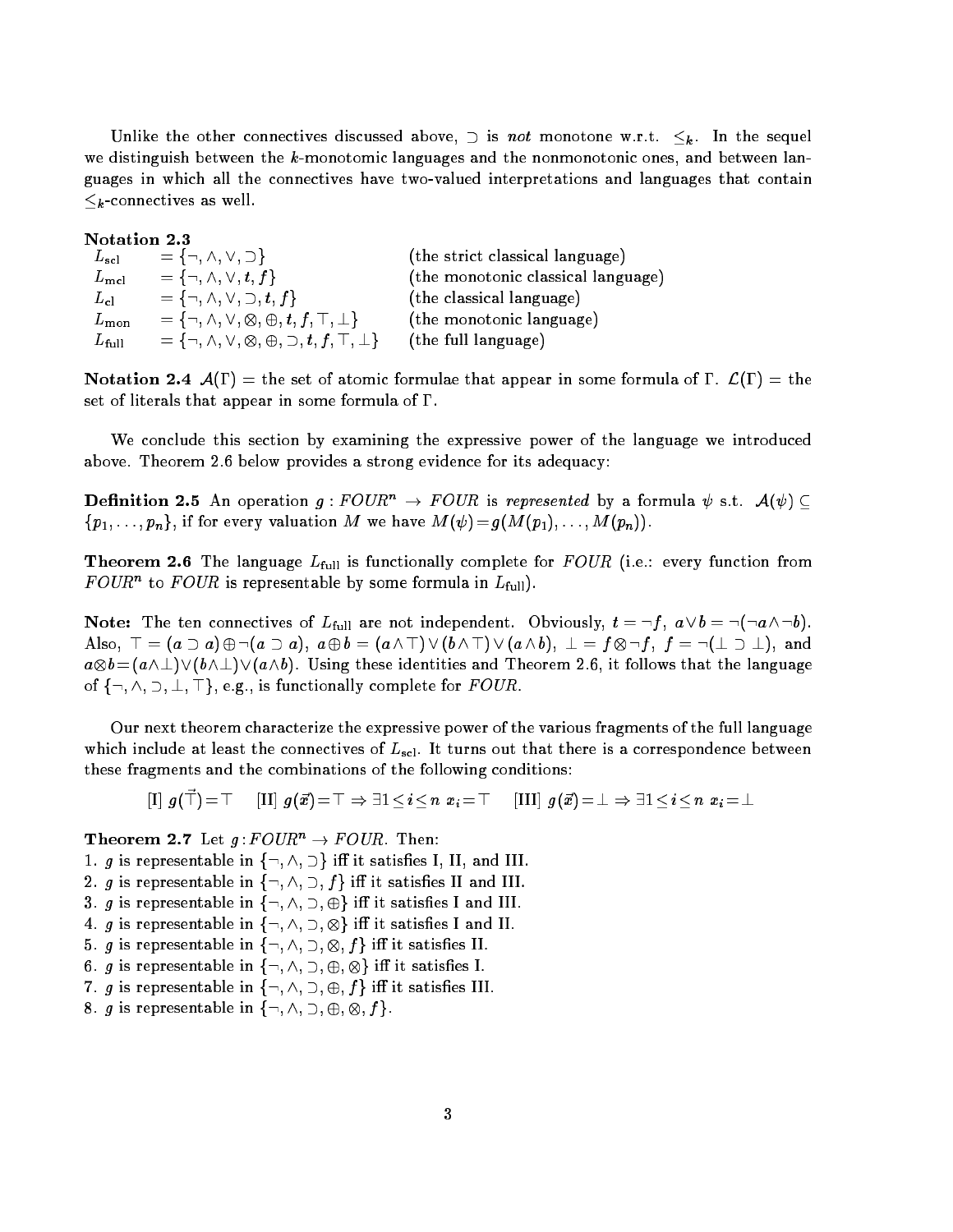Unlike the other connectives discussed above,  $\supset$  is not monotone w.r.t.  $\leq_k$ . In the sequel we distinguish between the k-monotomic languages and the nonmonotonic ones, and between languages in which all the connectives have two-valued interpretations and languages that contain  $\leq_k$ -connectives as well.

Notation 2.3  $L_{\rm scl} = \{\neg, \wedge, \vee, \supset\}$  (the strict classical language)  $L_{\text{mel}} = \{\neg, \wedge, \vee, t, f\}$  (the monotonic classical language)  $L_{\text{cl}} = \{\neg, \wedge, \vee, \supset, t, f\}$  (the classical language)  $L_{\text{mon}}$  =  $\{\neg, \wedge, \vee, \otimes, \oplus, t, f, \top, \bot\}$ (the monotonic language)  $L_{\text{full}} = \{\neg, \wedge, \vee, \otimes, \oplus, \supset, t, f, \top, \bot\}$ (the full language)

Notation 2.4  $\mathcal{A}(\Gamma) =$  the set of atomic formulae that appear in some formula of  $\Gamma$ .  $\mathcal{L}(\Gamma) =$  the set of literals that appear in some formula of  $\Gamma$ .

We conclude this section by examining the expressive power of the language we introduced above. Theorem 2.6 below provides a strong evidence for its adequacy:

**Definition 2.5** An operation  $g:FOUR^n \to FOUR$  is represented by a formula  $\psi$  s.t.  $\mathcal{A}(\psi) \subseteq$  ${p_1, \ldots, p_n}$ , if for every valuation M we have  $M(\psi) = g(M(p_1), \ldots, M(p_n)).$ 

**Theorem 2.6** The language  $L_{\text{full}}$  is functionally complete for  $FOUR$  (i.e.: every function from  $F \cup U K$  to  $F \cup U K$  is representable by some formula in  $L_{\rm full}$ ).

Note: The ten connectives of  $L_{\text{full}}$  are not independent. Obviously,  $t = \neg f$ ,  $a \vee b = \neg(\neg a \wedge \neg b)$ . Also, <sup>&</sup>gt; = (a a) :(a a), a b = (a ^ >) \_ (b ^ >) \_ (a ^ b), ? = f :f , f = :(? ?), and and a construction in the language in the construction and Theorem 2.6, it follows that the language of  $\{\neg, \wedge, \neg, \bot, \top\}$ , e.g., is functionally complete for  $FOUR$ .

Our next theorem characterize the expressive power of the various fragments of the full language which include at least the connectives of  $L_{\rm scl}$ . It turns out that there is a correspondence between these fragments and the combinations of the following conditions:

 $[I]$   $q(\vec{\top}) = \top$  $[{\rm III}]\; g(\vec{x})\!=\!\top \Rightarrow \exists 1\!<\!i\!<\!n\;x_i\!=\!\top \quad [{\rm III}]\; g(\vec{x})\!=\!\bot \Rightarrow \exists 1\!<\!i\!<\!n\;x_i\!=\!\bot$ 

**Theorem 2.7** Let  $g:FOUR^n \rightarrow FOUR$ . Then:

- 1. g is representable in  $\{\neg, \wedge, \supset\}$  iff it satisfies I, II, and III.
- 2. g is representable in  $\{\neg, \wedge, \supset, f\}$  iff it satisfies II and III.
- 3. g is representable in  $\{\neg, \wedge, \supset, \oplus\}$  iff it satisfies I and III.
- $\mathbf{u} = \mathbf{u} \cdot \mathbf{v}$  is representable in fig. . The interval and II. is satisfied in Fig. . The interval and II. II. is satisfied in Fig. . The interval and II. II. is satisfied in Fig. . In the interval and II. II. is
- 5. g is representable in f:; ^; ; ; f <sup>g</sup> i it satises II.
- 6. g is representable in f:; ^; ; ; <sup>g</sup> i it satises I.
- 7. g is representable in  $\{\neg, \wedge, \supset, \oplus, f\}$  iff it satisfies III.
- 8. g is representable in f:; ^; ; ; ; f g.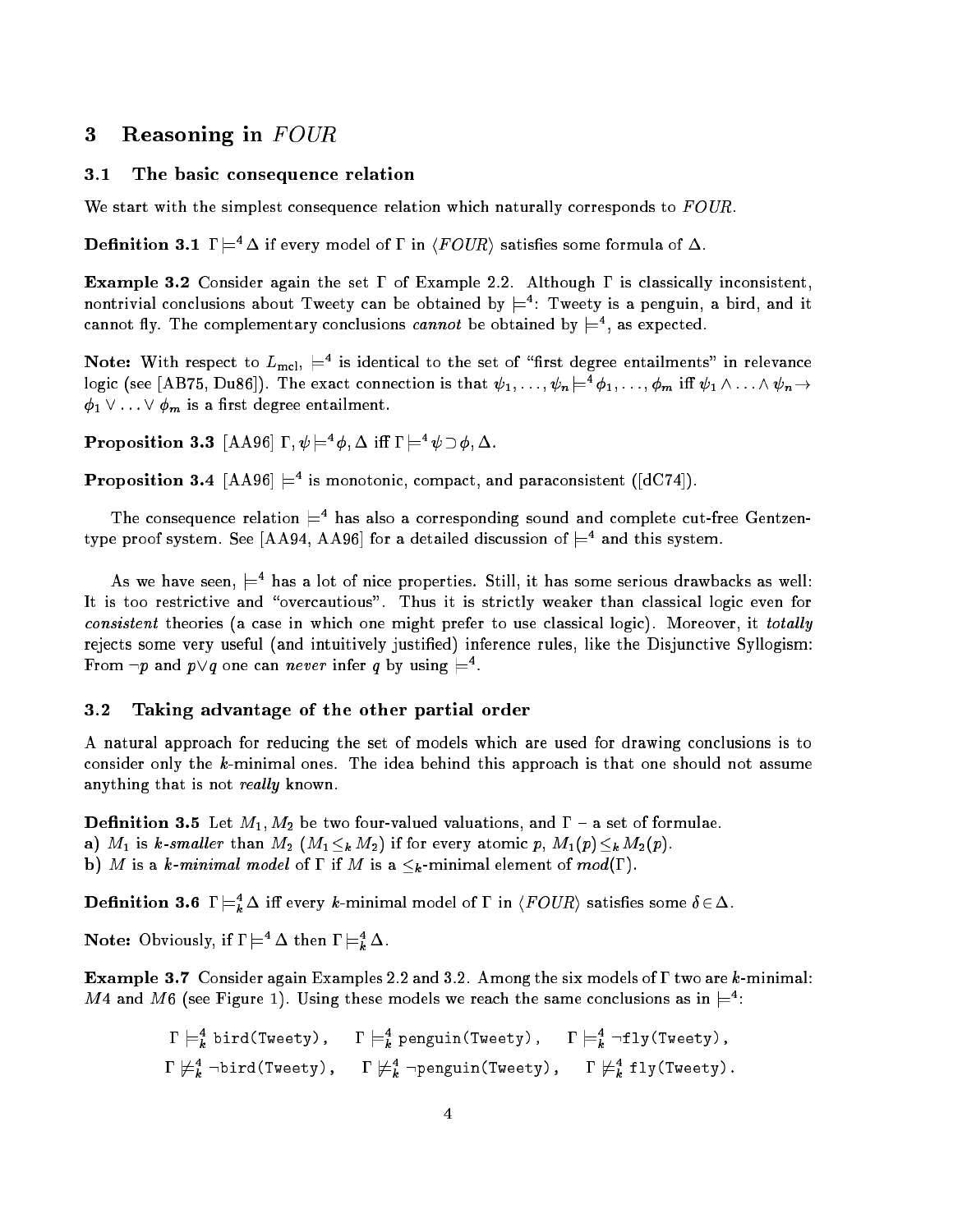#### 3Reasoning in FOUR

## 3.1 The basic consequence relation

We start with the simplest consequence relation which naturally corresponds to  $FOUR$ .

**Definition 3.1**  $\Gamma \models^4 \Delta$  if every model of  $\Gamma$  in  $\langle \text{FOUR} \rangle$  satisfies some formula of  $\Delta$ .

**Example 3.2** Consider again the set  $\Gamma$  of Example 2.2. Although  $\Gamma$  is classically inconsistent, nontrivial conclusions about I weety can be obtained by  $\models$  : I weety is a penguin, a bird, and it cannot ify. The complementary conclusions *cannot* be obtained by  $\equiv$  , as expected.

**Note:** With respect to  $L_{\rm mcl}$ ,  $\rightleftarrows$  is identical to the set of "first degree entailments" in relevance logic (see  $[A\,B\,I\,o],\,D\,u\,so]$ ). The exact connection is that  $\psi_1,\ldots,\psi_n\models^{\cdot}\varphi_1,\ldots,\varphi_m$  in  $\psi_1\wedge\ldots\wedge\psi_n\rightarrow^{\cdot}$  $\phi_1 \vee \ldots \vee \phi_m$  is a first degree entailment.

**Proposition 3.3**  $|A A 90| I, \psi \models \emptyset$ ,  $\Delta$  in  $I \models \psi \cup \emptyset$ ,  $\Delta$ .

**Proposition 3.4**  $|$ AA96 $| \models$  is monotonic, compact, and paraconsistent  $(|d \cup P|)$ .

The consequence relation  $\equiv$  has also a corresponding sound and complete cut-free Gentzentype proof system. See  $[AA94, A496]$  for a detailed discussion of  $\equiv$  4 and this system.

As we have seen,  $\models$  has a lot of nice properties. Still, it has some serious drawbacks as well: It is too restrictive and "overcautious". Thus it is strictly weaker than classical logic even for consistent theories (a case in which one might prefer to use classical logic). Moreover, it totally rejects some very useful (and intuitively justied) inference rules, like the Disjunctive Syllogism: From  $\neg p$  and  $p \vee q$  one can *never* infer q by using  $\models$ .

## 3.2 Taking advantage of the other partial order

A natural approach for reducing the set of models which are used for drawing conclusions is to consider only the k-minimal ones. The idea behind this approach is that one should not assume anything that is not *really* known.

**Definition 3.5** Let  $M_1, M_2$  be two four-valued valuations, and  $\Gamma$  – a set of formulae. a)  $M_1$  is k-smaller than  $M_2$   $(M_1 \leq_k M_2)$  if for every atomic  $p, M_1(p) \leq_k M_2(p)$ . b) M is a k-minimal model of  $\Gamma$  if M is a  $\leq_k$ -minimal element of  $mod(\Gamma)$ .

**Definition 3.6** 1  $\models_k \Delta$  in every *k*-minimal model of 1 in  $\langle \textit{r} \cup \textit{u} \rangle$  satisfies some  $\textit{o} \in \Delta$ .

**Note:** Obviously, if  $1 \models \Delta$  then  $1 \models \tilde{k} \Delta$ .

**Example 3.7** Consider again Examples 2.2 and 3.2. Among the six models of  $\Gamma$  two are k-minimal:  $m$  4 and  $m$  o (see Figure 1). Using these models we reach the same conclusions as in  $\rightleftarrows$ :

$$
\Gamma \models_k^4 \text{bird(Tweety)}, \quad \Gamma \models_k^4 \text{penguin(Tweety)}, \quad \Gamma \models_k^4 \neg fly(Tweety),
$$
  

$$
\Gamma \not\models_k^4 \neg bird(Tweety), \quad \Gamma \not\models_k^4 \neg penguin(Tweety), \quad \Gamma \not\models_k^4 \text{fly(Tweety)}.
$$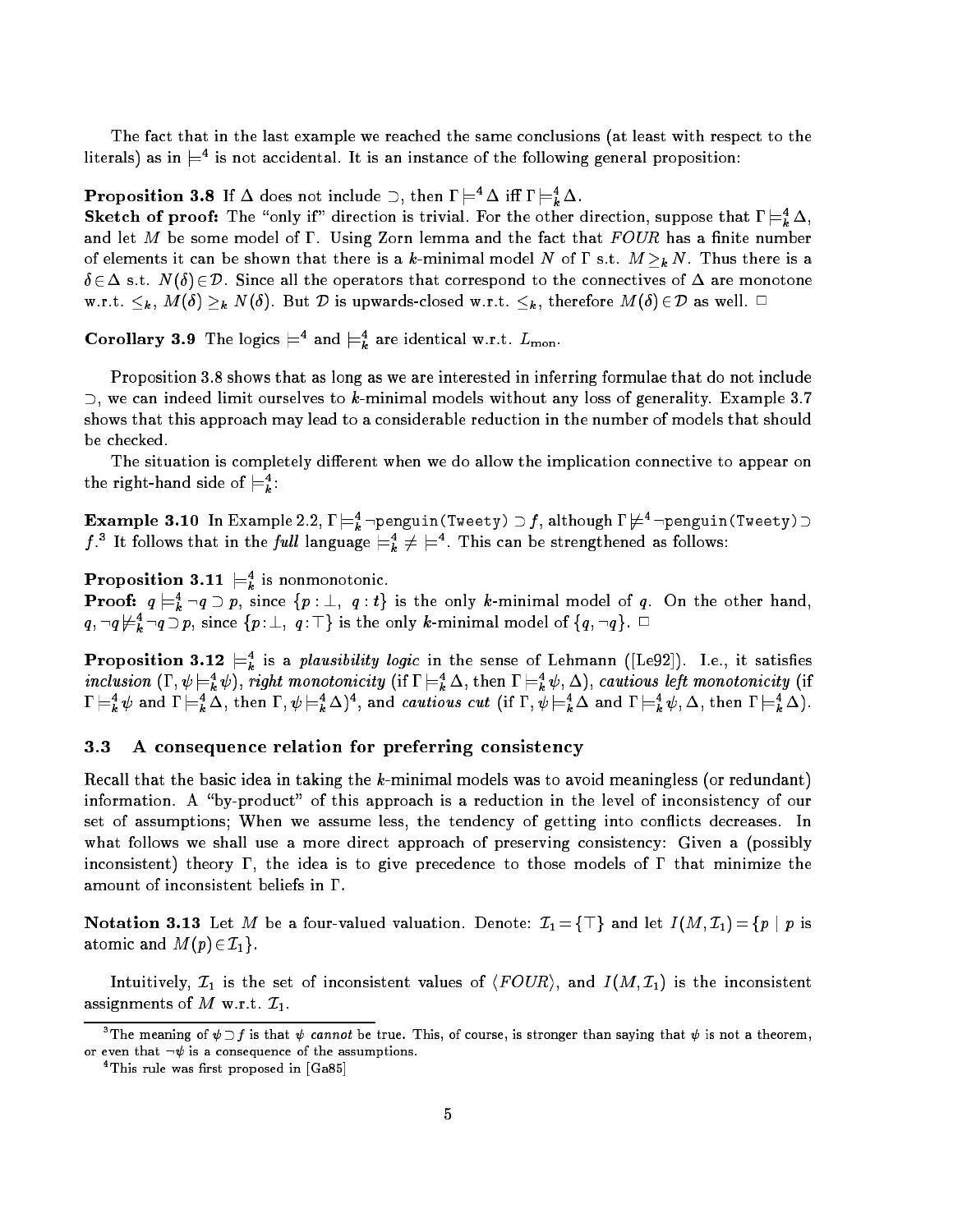The fact that in the last example we reached the same conclusions (at least with respect to the literals) as in  $\rightleftharpoons$  is not accidental. It is an instance of the following general proposition:

**Proposition 3.8** If  $\Delta$  does not include  $\Box$ , then  $I \models \Delta$  in  $I \models \underline{k} \Delta$ .

**Sketch of proof:** The " only if " direction is trivial. For the other direction, suppose that  $I \models_k A$ , and let M be some model of  $\Gamma$ . Using Zorn lemma and the fact that  $FOUR$  has a finite number of elements it can be shown that there is a k-minimal model N of  $\Gamma$  s.t.  $M >_{k} N$ . Thus there is a  $\delta \in \Delta$  s.t.  $N(\delta) \in \mathcal{D}$ . Since all the operators that correspond to the connectives of  $\Delta$  are monotone w.r.t.  $\leq_k$ ,  $M(\delta) \geq_k N(\delta)$ . But  $\mathcal D$  is upwards-closed w.r.t.  $\leq_k$ , therefore  $M(\delta) \in \mathcal D$  as well.  $\Box$ 

Coronary 3.9 The logics  $\equiv$  and  $\equiv_{\vec{k}}$  are identical w.r.t.  $L_{\text{mon}}$ .

Proposition 3.8 shows that as long as we are interested in inferring formulae that do not include  $\supset$ , we can indeed limit ourselves to k-minimal models without any loss of generality. Example 3.7 shows that this approach may lead to a considerable reduction in the number of models that should be checked.

The situation is completely different when we do allow the implication connective to appear on the right-hand side of  $\equiv i$ :

 $\textbf{Example 3.10}$  In Example 2.2,  $\textbf{I} \models_k^-$ -penguin(Tweety)  $\supset$  , although  $\textbf{I} \not\models^-$ -penguin(Tweety)  $\supset$ J. The follows that in the *full* language  $\models_k^* \neq \models^-.$  This can be strengthened as follows:

**Proposition 3.11**  $\equiv_k$  is nonmonotonic.

**Proof:**  $q \models_{\bar{k}} \neg q \supset p$ , since  $\{p : \bot, q : t\}$  is the only *k*-minimal model of q. On the other hand,  $q$ ,  $\neg q \not\vDash_{\bar{k}} \neg q \supset p$ , since  $\{p : \bot, q : \bot\}$  is the only *k*-minimal model of  $\{q, \neg q\}$ .  $\Box$ 

**Proposition 3.12**  $\sqsubset_{k}$  is a *plausionity logic* in the sense of Lehmann ([Le92]). I.e., it satisfies  $\mathit{n}$  cruston  $(i, \psi \models_k^t \psi)$ , right monotonicity  $(i$  i  $i \models_k^t \Delta$ , then  $i \models_k^t \psi, \Delta)$ , cautious left monotonicity  $(i$  $\mu = \bar{k} \psi$  and  $\mu = \bar{k} \Delta$ , then  $\mu = \bar{k} \Delta$ ), and *cautious cut* (if  $\mu = \bar{k} \Delta$  and  $\mu = \bar{k} \psi$ ,  $\Delta$ , then  $\mu = \bar{k} \Delta$ ).

#### $3.3$ A consequence relation for preferring consistency

Recall that the basic idea in taking the  $k$ -minimal models was to avoid meaningless (or redundant) information. A "by-product" of this approach is a reduction in the level of inconsistency of our set of assumptions; When we assume less, the tendency of getting into con
icts decreases. In what follows we shall use a more direct approach of preserving consistency: Given a (possibly inconsistent) theory  $\Gamma$ , the idea is to give precedence to those models of  $\Gamma$  that minimize the amount of inconsistent beliefs in  $\Gamma$ .

Notation 3.13 Let M be a four-valued valuation. Denote:  $\mathcal{I}_1 = \{\top\}$  and let  $I(M, \mathcal{I}_1) = \{p \mid p \text{ is } \}$ atomic and  $M(p) \in \mathcal{I}_1$ .

Intuitively,  $\mathcal{I}_1$  is the set of inconsistent values of  $\langle FOUR\rangle$ , and  $I(M, \mathcal{I}_1)$  is the inconsistent assignments of M w.r.t.  $\mathcal{I}_1$ .

The meaning of  $\psi\supseteq\jmath$  is that  $\psi$  cannot be true. This, of course, is stronger than saying that  $\psi$  is not a theorem, or even that  $\neg \psi$  is a consequence of the assumptions.

This rule was first proposed in [Ga85]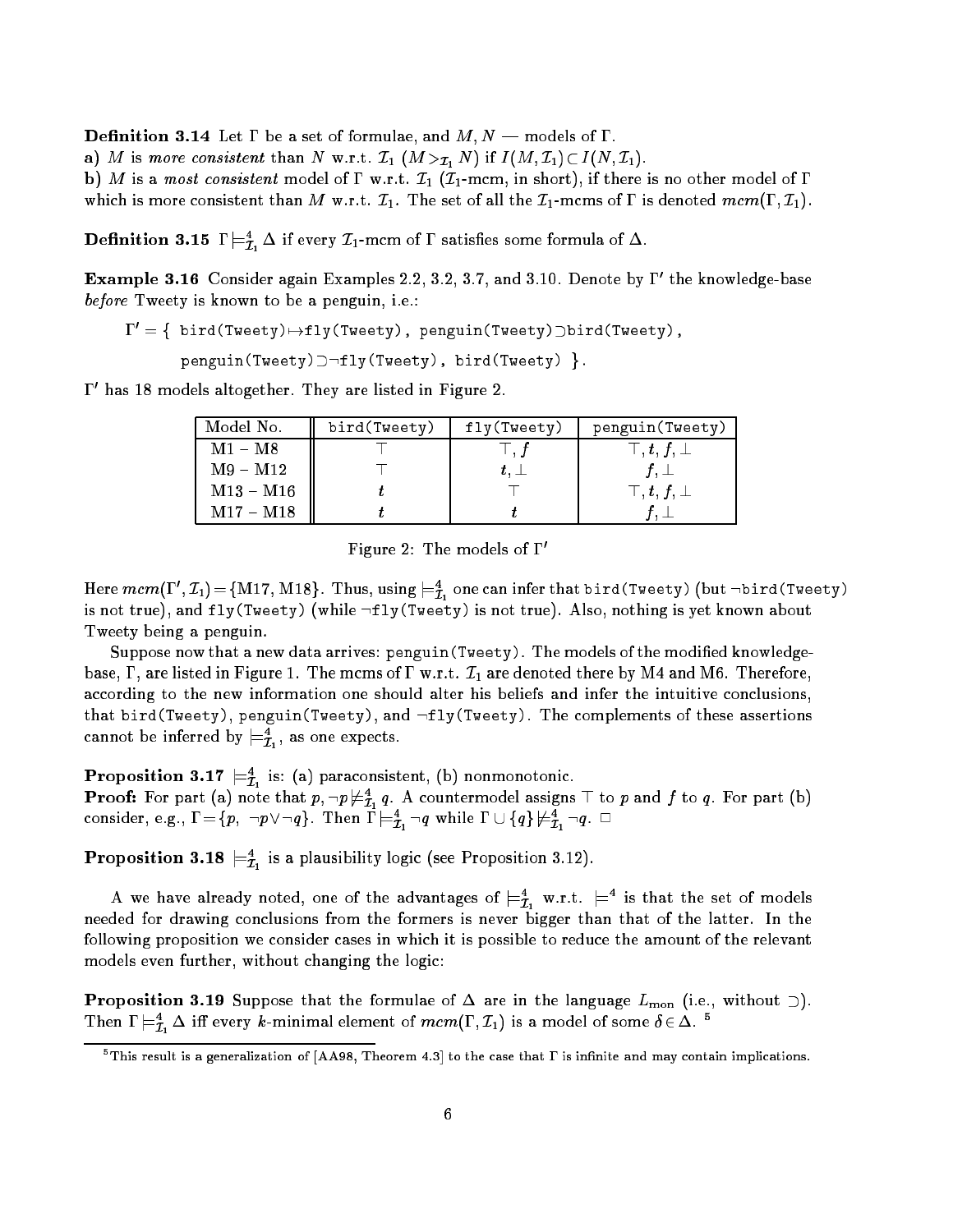**Definition 3.14** Let  $\Gamma$  be a set of formulae, and  $M, N$  – models of  $\Gamma$ .

a) M is more consistent than N w.r.t.  $\mathcal{I}_1$   $(M >_{\mathcal{I}_1} N)$  if  $I(M, \mathcal{I}_1) \subset I(N, \mathcal{I}_1)$ .

b) M is a most consistent model of  $\Gamma$  w.r.t.  $\mathcal{I}_1$  ( $\mathcal{I}_1$ -mcm, in short), if there is no other model of  $\Gamma$ 

which is more consistent than M w.r.t.  $\mathcal{I}_1$ . The set of all the  $\mathcal{I}_1$ -mcms of  $\Gamma$  is denoted mcm( $\Gamma, \mathcal{I}_1$ ).

**Definition 3.15** I  $\equiv_{\mathcal{I}_1} \Delta$  if every  $\mathcal{I}_1$ -mcm of 1 satisfies some formula of  $\Delta$ .

**Example 3.16** Consider again Examples 2.2, 3.2, 3.7, and 3.10. Denote by 1 The knowledge-base before Tweety is known to be a penguin, i.e.:

 $\Gamma' = \{\text{bird(Tweety)} \mapsto fly(Tweety), \text{penguin(Tweety)}$ ) bird(Tweety),

 $p$ enguin(Tweety) $\supset \neg fly(Tweety)$ , bird(Tweety) }.

0 has 18 models altogether. They are listed in Figure 2.

| Model No.                 | bird(Tweety) | fly(Tweety)          | penguin (Tweety)            |
|---------------------------|--------------|----------------------|-----------------------------|
| $\mathrm{M1}-\mathrm{M8}$ |              | $\perp$ . $\uparrow$ | $\top$ , $t$ , $f$ , $\bot$ |
| $M9 - M12$                |              |                      |                             |
| $M13 - M16$               |              |                      | $\top, t, f, \bot$          |
| $M17 - M18$               |              |                      |                             |

Figure 2: The models of  $\Gamma'$ 

Here  $mcm(1\;\; ,L_1)\!=\!\{$ M17, M18}. Thus, using  $\models_{\bar{L}_1}$  one can infer that bird(Tweety) (but  $\neg$ bird(Tweety) is not true), and  $fly$ (Tweety) (while  $\neg fly$ (Tweety) is not true). Also, nothing is yet known about Tweety being a penguin.

Suppose now that a new data arrives: <code>penguin(Tweety).</code> The models of the modified knowledgebase,  $\Gamma$ , are listed in Figure 1. The mcms of  $\Gamma$  w.r.t.  $\mathcal{I}_1$  are denoted there by M4 and M6. Therefore, according to the new information one should alter his beliefs and infer the intuitive conclusions, that bird(Tweety), penguin(Tweety), and  $\neg fly$ (Tweety). The complements of these assertions cannot be inferred by  $\models_{\mathcal{I}_{1}}$ , as one expects.

**Proposition 3.17**  $\equiv \vec{\tau}_1$  is: (a) paraconsistent, (b) nonmonotonic. **Proof:** For part (a) note that  $p, \neg p \not\equiv_{\tilde{\mathcal{I}}_1} q$ . A countermodel assigns  $\bot$  to  $p$  and  $f$  to  $q$ . For part (b) consider, e.g.,  $\mathbf{1} = \{p, \; \neg p \lor \neg q\}$ . Then  $\mathbf{1} \models_{\mathcal{I}_1} \neg q$  while  $\mathbf{1} \cup \{q\} \not\models_{\mathcal{I}_1} \neg q$ .  $\Box$ 

**Proposition 3.18**  $\equiv \tilde{\mathcal{I}}_1$  is a plausibility logic (see Proposition 3.12).

A we have already noted, one of the advantages of  $\mathrel{\models}\! \bar{\imath}_1$  w.r.t.  $\mathrel{\models}$  is that the set of models needed for drawing conclusions from the formers is never bigger than that of the latter. In the following proposition we consider cases in which it is possible to reduce the amount of the relevant models even further, without changing the logic:

**Proposition 3.19** Suppose that the formulae of  $\Delta$  are in the language  $L_{\text{mon}}$  (i.e., without  $\supset$ ). I nen  $I \models \mathcal{I}_1 \Delta$  in every *k*-minimal element of mcm(1,  $\mathcal{I}_1$ ) is a model of some  $o \in \Delta$ .

 $^\circ$  I his result is a generalization of  $\vert A A 98, \vert$  I heorem 4.3 $\vert$  to the case that I  $\vert$  is infinite and may contain implications.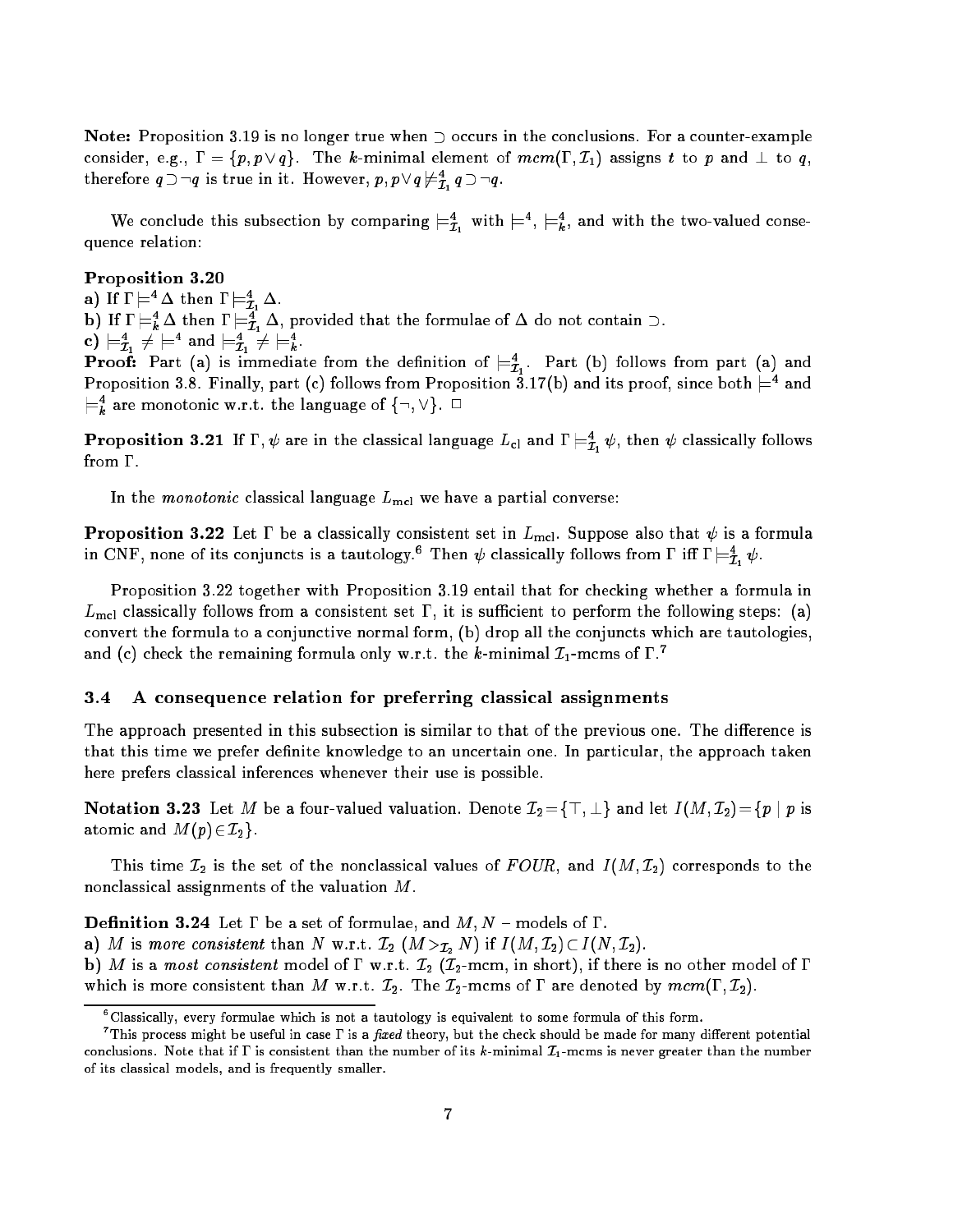Note: Proposition 3.19 is no longer true when  $\supset$  occurs in the conclusions. For a counter-example consider, e.g.,  $\Gamma = \{p, p \vee q\}$ . The k-minimal element of  $mcm(\Gamma, \mathcal{I}_1)$  assigns t to p and  $\perp$  to q, therefore  $q \supseteq q$  is true in it. However,  $p, p \vee q \not\equiv_{\tau} q \supseteq q$ . - 1

we conclude this subsection by comparing  $\equiv \bar{t}_1$  with  $\equiv \bar{t}_1$ , and with the two-valued consequence relation:

Proposition 3.20

a) if  $i \in \Delta$  then  $i \in \mathcal{I}_1$   $\Delta$ .

**b)** If  $I \models_{\vec{k}} \Delta$  then  $I \models_{\vec{\mathcal{I}}_1} \Delta$ , provided that the formulae of  $\Delta$  do not contain  $\Box$ .

c)  $\sqsubset_{\mathcal{I}_{1}}$   $\mathcal{F} \sqsubset$  and  $\sqsubset_{\mathcal{I}_{1}}$   $\mathcal{F} \sqsubset_{k}$ .

**Proof:** Part (a) is immediate from the definition of  $\equiv_{\mathcal{I}_1}$ . Part (b) follows from part (a) and Proposition 3.8. Finally, part (c) follows from Proposition 3.17(b) and its proof, since both  $\equiv^+$  and  $\models_k$  are monotonic w.r.t. the language of  $\{\neg, \vee\}$ .  $\sqcup$ 

**Proposition 3.21** If 1,  $\psi$  are in the classical language  $L_{\text{cl}}$  and  $I \models_{\mathcal{I}_1} \psi$ , then  $\psi$  classically follows from  $\Gamma$ .

In the *monotonic* classical language  $L_{\text{mel}}$  we have a partial converse:

**Proposition 3.22** Let  $\Gamma$  be a classically consistent set in  $L_{\text{mel}}$ . Suppose also that  $\psi$  is a formula in CNF, none of its conjuncts is a tautology. Then  $\psi$  classically follows from  $\iota$  in  $\iota \models_{\mathcal{I}_1} \psi$ .

Proposition 3.22 together with Proposition 3.19 entail that for checking whether a formula in  $L_{\text{mel}}$  classically follows from a consistent set  $\Gamma$ , it is sufficient to perform the following steps: (a) convert the formula to a conjunctive normal form, (b) drop all the conjuncts which are tautologies, and (c) check the remaining formula only w.r.t. the k-minimal  $\mathcal{I}_1$ -mcms of  $\Gamma$ .<sup>7</sup>

## 3.4 A consequence relation for preferring classical assignments

The approach presented in this subsection is similar to that of the previous one. The difference is that this time we prefer definite knowledge to an uncertain one. In particular, the approach taken here prefers classical inferences whenever their use is possible.

Notation 3.23 Let M be a four-valued valuation. Denote  $\mathcal{I}_2 = \{\top, \bot\}$  and let  $I(M, \mathcal{I}_2) = \{p \mid p \text{ is } \bot\}$ atomic and  $M(p) \in \mathcal{I}_2$ .

This time  ${\cal I}_2$  is the set of the nonclassical values of  $FOUR,$  and  $I(M,{\cal I}_2)$  corresponds to the nonclassical assignments of the valuation M.

**Definition 3.24** Let  $\Gamma$  be a set of formulae, and  $M, N$  – models of  $\Gamma$ .

a) M is more consistent than N w.r.t.  $\mathcal{I}_2$   $(M >_{\mathcal{I}_2} N)$  if  $I(M, \mathcal{I}_2) \subset I(N, \mathcal{I}_2)$ .

b) M is a most consistent model of  $\Gamma$  w.r.t.  $\mathcal{I}_2$  ( $\mathcal{I}_2$ -mcm, in short), if there is no other model of  $\Gamma$ which is more consistent than M w.r.t.  $\mathcal{I}_2$ . The  $\mathcal{I}_2$ -mcms of  $\Gamma$  are denoted by  $mcm(\Gamma, \mathcal{I}_2)$ .

<sup>6</sup> Classically, every formulae which is not a tautology is equivalent to some formula of this form.

<sup>.</sup> This process might be useful in case I is a *fixed* theory, but the check should be made for many different potential conclusions. Note that if  $\Gamma$  is consistent than the number of its k-minimal  $\mathcal{I}_1$ -mcms is never greater than the number of its classical models, and is frequently smaller.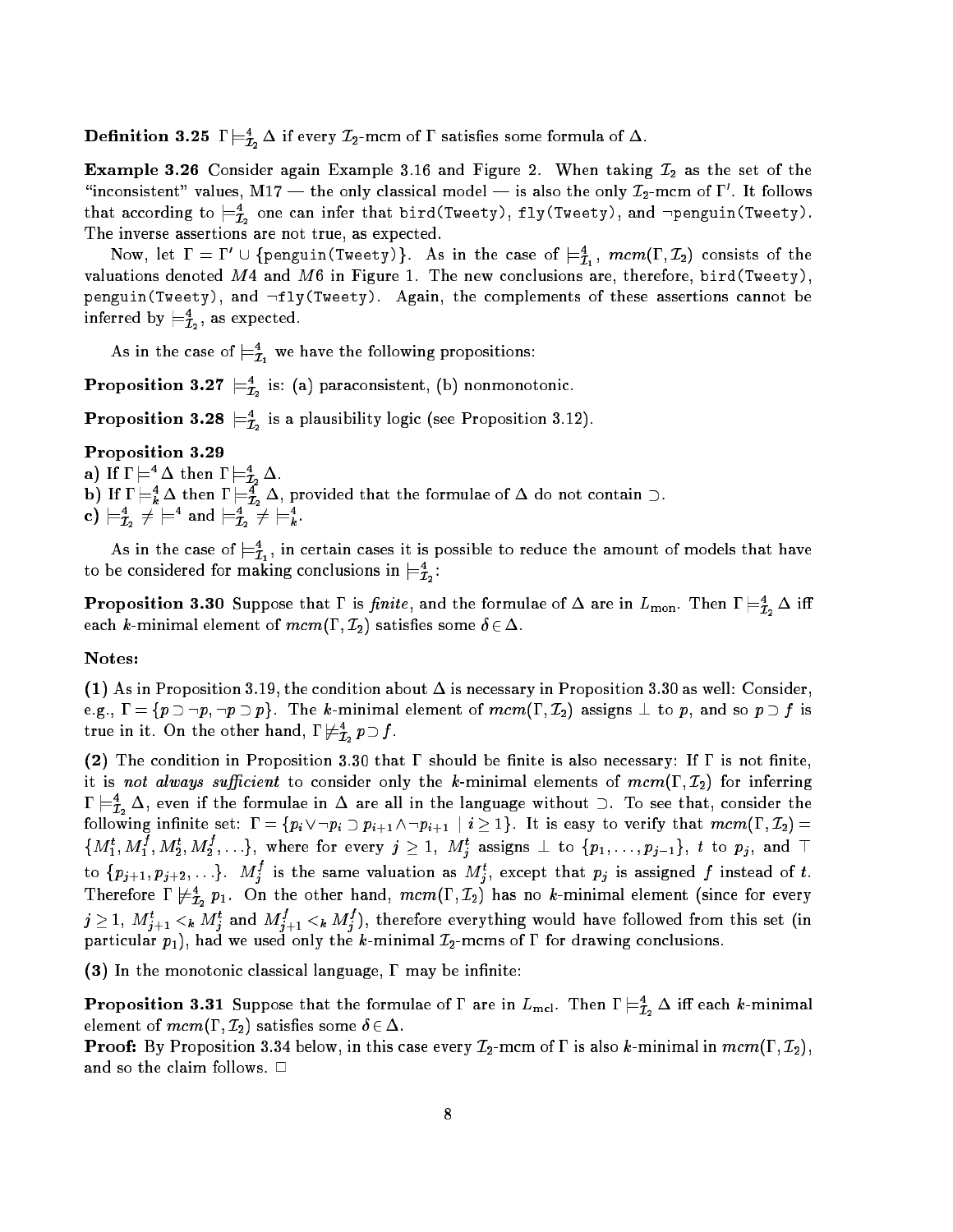**Definition 3.25** I  $\equiv \bar{I}_2 \Delta$  if every  $L_2$ -mcm of 1 satisfies some formula of  $\Delta$ .

**Example 3.26** Consider again Example 3.16 and Figure 2. When taking  $\mathcal{I}_2$  as the set of the "inconsistent" values, M17 — the only classical model — is also the only  $L_2$ -mcm of  $1$  . It follows that according to  $\rightleftarrows_{\tau}$  one can infer that bird(Tweety), fly(Tweety), and  $\neg$ penguin(Tweety). - -The inverse assertions are not true, as expected.

Now, let  $1\equiv 1^{\circ}\cup\{ \text{penguin}(\text{1weety})\}$ . As in the case of  $\models \hat{\mathcal{I}}_1^{}$ ,  $\mathit{mcm}(1^{},\mathcal{I}_2^{})$  consists of the valuations denoted  $M4$  and  $M6$  in Figure 1. The new conclusions are, therefore, bird(Tweety), penguin(Tweety), and  $\lnot fly$ (Tweety). Again, the complements of these assertions cannot be inferred by  $\equiv_{\tau_*}$ , as expected. - -

As in the case of  $\equiv_{\mathcal{I}_1}$  we have the following propositions:

**Proposition 3.2**  $\mathcal{F}_{\bar{\mathcal{I}}_2}$  is: (a) paraconsistent, (b) nonmonotonic.

**Proposition 3.28**  $\equiv \hat{\tau}$  is a plausibility logic (see Proposition 3.12).  $-$ 

## Proposition 3.29

- a) if  $I \models Y \Delta$  then  $I \models \tilde{I}_2 \Delta$ .  ${\tt b)}$  if  ${\tt l}\models_{\bar{k}} \Delta$  then  ${\tt l}\models_{\bar{\mathcal{I}}_2} \Delta$ , provided that the formulae of  $\Delta$  do not contain  $\mathcal{I}.$
- c)  $\sqsubset_{\tau}$   $\tau \sqsubset \sqsubset$  and  $\sqsubset_{\tau}$   $\tau \sqsubset \sqsubset$  . - 2 - 2

As in the case of  $\rightleftharpoons$  , in certain cases it is possible to reduce the amount of models that have to be considered for making conclusions in  $\models^4_{\mathcal{I}_2}$ :

**Proposition 3.30** Suppose that I is *jinite*, and the formulae of  $\Delta$  are in  $L_{\rm mon}$ . Then  $I \models_{\mathcal{I}_2} \Delta$  in each k-minimal element of  $mcm(\Gamma, \mathcal{I}_2)$  satisfies some  $\delta \in \Delta$ .

## Notes:

(1) As in Proposition 3.19, the condition about  $\Delta$  is necessary in Proposition 3.30 as well: Consider, e.g.,  $\Gamma = \{p \supset \neg p, \neg p \supset p\}$ . The k-minimal element of  $mcm(\Gamma, \mathcal{I}_2)$  assigns  $\perp$  to p, and so  $p \supset f$  is true in it. On the other hand, 1  $\mathop{\nvDash} \mathop{\hat{I}}\nolimits_2 p\mathop{\supset} J.$ 

(2) The condition in Proposition 3.30 that  $\Gamma$  should be finite is also necessary: If  $\Gamma$  is not finite, it is not always sufficient to consider only the k-minimal elements of  $mcm(\Gamma, \mathcal{I}_2)$  for inferring  $\mathbf{1} \models_{\mathcal{I}_2} \Delta$ , even if the formulae in  $\Delta$  are all in the language without  $\supset$ . To see that, consider the following infinite set:  $\Gamma = \{p_i \vee \neg p_i \supset p_{i+1} \wedge \neg p_{i+1} \mid i \geq 1\}$ . It is easy to verify that  $mcm(\Gamma, \mathcal{I}_2)$  $\{M_1^*,M_1^*,M_2^*,M_2^*,\ldots\},$  where for every  $j\geq 1,~M_i^*$  assigns  $\perp$  to  $\{p_1,\ldots,p_{j-1}\},$  to  $p_j,$  and  $\perp$ to  $\{p_{j+1}, p_{j+2}, \ldots\}$ .  $M_j^*$  is the same valuation as  $M_j^*$ , except that  $p_j$  is assigned f instead of t. **Therefore I**  $\neq_{\bar{T}_2}^{\bar{T}_2}$  p<sub>1</sub>. On the other hand, mcm(1,  $L_2$ ) has no k-minimal element (since for every  $j\geq 1,\; M^+_{j+1}<_{k}M^+_{j}$  and  $M^+_{j+1}<_{k}M^+_{j}$  ), therefore everything would have followed from this set (in particular  $p_1$ ), had we used only the k-minimal  $\mathcal{I}_2$ -mcms of  $\Gamma$  for drawing conclusions.

(3) In the monotonic classical language,  $\Gamma$  may be infinite:

**Proposition 3.31** Suppose that the formulae of 1 are in  $L_{\text{mel}}$ . Then  $I \models \tilde{\mathcal{I}}_2 \Delta$  in each *k*-minimal element of  $mcm(\Gamma, \mathcal{I}_2)$  satisfies some  $\delta \in \Delta$ .

**Proof:** By Proposition 3.34 below, in this case every  $\mathcal{I}_2$ -mcm of  $\Gamma$  is also k-minimal in  $mcm(\Gamma, \mathcal{I}_2)$ , and so the claim follows.  $\Box$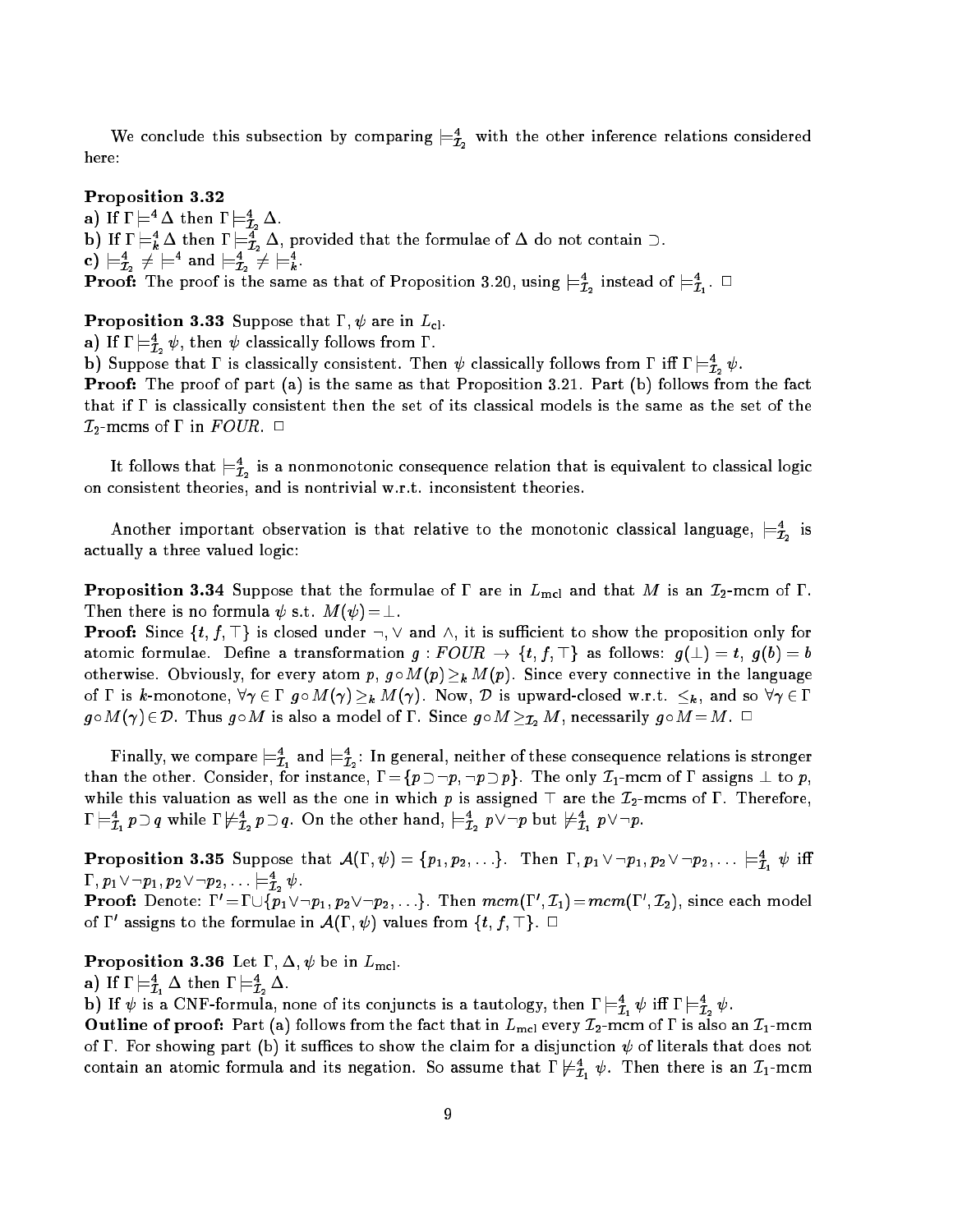we conclude this subsection by comparing  $\equiv_{\bar{\mathcal{I}}_2}$  with the other inference relations considered here:

#### Proposition 3.32

a) if  $I \models \Delta$  then  $I \models \tilde{I}_2 \Delta$ . **b)** If  $I \models_{\vec{k}} \Delta$  then  $I \models_{\vec{\mathcal{I}}_2} \Delta$ , provided that the formulae of  $\Delta$  do not contain  $\Box$ . c)  $\sqsubset_{\mathcal{I}_2} \mathcal{F} \sqsubset \mathcal{I}$  and  $\sqsubset_{\mathcal{I}_2} \mathcal{F} \sqsubset_{k} \mathcal{I}$ . **Proof:** The proof is the same as that of Proposition 3.20, using  $\models$   $\tau$  instead of  $\models$   $\tau$ . - 2 - 1

**Proposition 3.33** Suppose that  $\Gamma$ ,  $\psi$  are in  $L_{cl}$ .

a) If  $\Gamma\models \tilde{\mathcal{I}}_2\Psi,$  then  $\Psi$  classically follows from  $1$  .

b) Suppose that I is classically consistent. Then  $\psi$  classically follows from 1 in  $I \models Z_2 \psi$ .

**Proof:** The proof of part (a) is the same as that Proposition 3.21. Part (b) follows from the fact that if  $\Gamma$  is classically consistent then the set of its classical models is the same as the set of the  $\mathcal{I}_2$ -mcms of  $\Gamma$  in  $FOUR$ .  $\Box$ 

It follows that  $\equiv_{\mathcal{I}_2}$  is a nonmonotonic consequence relation that is equivalent to classical logic on consistent theories, and is nontrivial w.r.t. inconsistent theories.

Another important observation is that relative to the monotonic classical language,  $\mathrel{{\models}}_{\mathcal{I}_2}$  is actually a three valued logic:

**Proposition 3.34** Suppose that the formulae of  $\Gamma$  are in  $L_{\text{mel}}$  and that M is an  $\mathcal{I}_2$ -mcm of  $\Gamma$ . Then there is no formula  $\psi$  s.t.  $M(\psi) = \bot$ .

**Proof:** Since  $\{t, f, \top\}$  is closed under  $\neg, \vee$  and  $\wedge$ , it is sufficient to show the proposition only for atomic formulae. Define a transformation  $g:FOUR \to \{t, f, \top\}$  as follows:  $g(\bot) = t$ ,  $g(b) = b$ otherwise. Obviously, for every atom p,  $g \circ M(p) \geq_k M(p)$ . Since every connective in the language of  $\Gamma$  is k-monotone,  $\forall \gamma \in \Gamma$   $g \circ M(\gamma) \geq_k M(\gamma)$ . Now,  $\mathcal D$  is upward-closed w.r.t.  $\leq_k$ , and so  $\forall \gamma \in \Gamma$  $g\circ M(\gamma)\in\mathcal{D}$ . Thus  $g\circ M$  is also a model of  $\Gamma$ . Since  $g\circ M\geq_{\mathcal{I}_2} M$ , necessarily  $g\circ M=M$ .  $\Box$ 

**F** inally, we compare  $\models \bar{\textbf{\textit{I}}}_1$  and  $\models \bar{\textbf{\textit{I}}}_2$ : In general, neither of these consequence relations is stronger than the other. Consider, for instance,  $\Gamma = \{p \supset \neg p, \neg p \supset p\}$ . The only  $\mathcal{I}_1$ -mcm of  $\Gamma$  assigns  $\perp$  to  $p$ , while this valuation as well as the one in which p is assigned  $\top$  are the  $\mathcal{I}_2$ -mcms of  $\Gamma$ . Therefore,  $\mathbf{1}\models_{\mathcal{I}_1} p\cup q$  while  $\mathbf{1}\not\equiv_{\mathcal{I}_2} p\cup q$ . On the other hand,  $\models_{\mathcal{I}_2} p\vee \neg p$  but  $\not\equiv_{\mathcal{I}_1} p\vee \neg p.$ 

**Proposition 3.35** Suppose that  $\mathcal{A}(1, \psi) = \{p_1, p_2, \ldots\}$ . Then  $1, p_1 \vee \neg p_1, p_2 \vee \neg p_2, \ldots \models_{\mathcal{I}_1} \psi$  in  $\cdots$  ,  $p_1$  v  $\neg p_1, p_2$  v  $\neg p_2, \ldots$   $\leftrightharpoons_{\hat{\mathcal{I}}_2}\psi$  . **Proof:** Denote:  $1 = 1 \cup \{p_1 \vee \neg p_1, p_2 \vee \neg p_2, \dots\}$ . Then mcm(1,  $\bot_1$ ) = mcm(1,  $\bot_2$ ), since each model

**Proposition 3.36** Let  $\Gamma$ ,  $\Delta$ ,  $\psi$  be in  $L_{\text{mel}}$ .

of 1 assigns to the formulae in  $\mathcal{A}(1, \psi)$  values from  $\{t, f, \bot\}$ .

a) ii 1  $\sqsubset_{\bar{\mathcal{I}}_1} \Delta$  then 1  $\sqsubset_{\bar{\mathcal{I}}_2} \Delta$ .

b) if  $\psi$  is a CNF-formula, none of its conjuncts is a tautology, then  $1 \models \bar{\tau}_1 \psi$  in  $1 \models \bar{\tau}_2 \psi$ .

Outline of proof: Part (a) follows from the fact that in  $L_{\text{mel}}$  every  $\mathcal{I}_2$ -mcm of  $\Gamma$  is also an  $\mathcal{I}_1$ -mcm of  $\Gamma$ . For showing part (b) it suffices to show the claim for a disjunction  $\psi$  of literals that does not contain an atomic formula and its negation. So assume that  $1 \not\equiv \tilde{\tau}_1 \psi$ . Then there is an  $L_1$ -mcm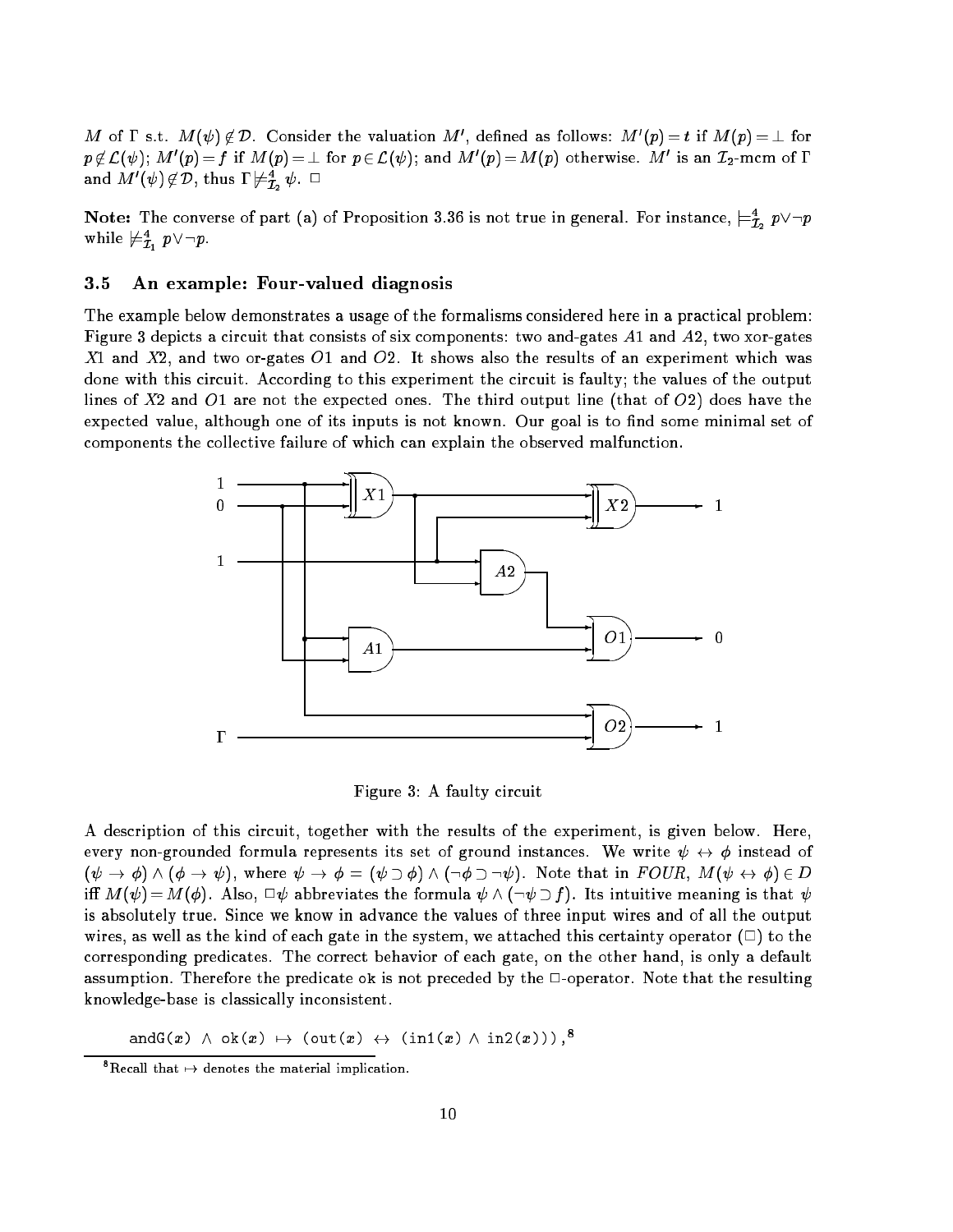M of 1 s.t.  $M(\psi) \not\in \mathcal{D}$ . Consider the valuation M , defined as follows: M  $(p) = t$  if  $M(p) = \bot$  for  $p \notin L(\psi)$ ; M  $(p) = f$  if M(p)  $=$   $\bot$  for  $p \in L(\psi)$ ; and M  $(p) =$  M(p) otherwise. M is an  $L_2$ -mcm of I and  $M$   $(\psi)\notin \nu$ , thus  $1\not\vdash \tilde{{\cal I}}_2\psi$ .  $\Box$ 

**Note:** The converse of part (a) of Proposition 3.36 is not true in general. For instance,  $\models_{\bar{\mathcal{I}}_2}^{\cdot} p \vee \neg p$ while  $\mu_{\tilde{\mathcal{I}}_1}$   $p \vee \neg p$ .

## 3.5 An example: Four-valued diagnosis

The example below demonstrates a usage of the formalisms considered here in a practical problem: Figure 3 depicts a circuit that consists of six components: two and-gates A1 and A2, two xor-gates  $X1$  and  $X2$ , and two or-gates  $O1$  and  $O2$ . It shows also the results of an experiment which was done with this circuit. According to this experiment the circuit is faulty; the values of the output lines of  $X2$  and  $O1$  are not the expected ones. The third output line (that of  $O2$ ) does have the expected value, although one of its inputs is not known. Our goal is to find some minimal set of components the collective failure of which can explain the observed malfunction.



Figure 3: A faulty circuit

A description of this circuit, together with the results of the experiment, is given below. Here, every non-grounded formula represents its set of ground instances. We write  $\psi \leftrightarrow \phi$  instead of  $(\psi \to \phi) \wedge (\phi \to \psi)$ , where  $\psi \to \phi = (\psi \supset \phi) \wedge (\neg \phi \supset \neg \psi)$ . Note that in  $FOUR$ ,  $M(\psi \leftrightarrow \phi) \in D$ iff  $M(\psi) = M(\phi)$ . Also,  $\Box \psi$  abbreviates the formula  $\psi \wedge (\neg \psi \supset f)$ . Its intuitive meaning is that  $\psi$ is absolutely true. Since we know in advance the values of three input wires and of all the output wires, as well as the kind of each gate in the system, we attached this certainty operator  $(\square)$  to the corresponding predicates. The correct behavior of each gate, on the other hand, is only a default assumption. Therefore the predicate ok is not preceded by the  $\Box$ -operator. Note that the resulting knowledge-base is classically inconsistent.

andG(x)  $\land$  ok(x)  $\mapsto$  (out(x)  $\leftrightarrow$  (in1(x)  $\land$  in2(x))),<sup>8</sup>

Execall that  $\mapsto$  denotes the material implication.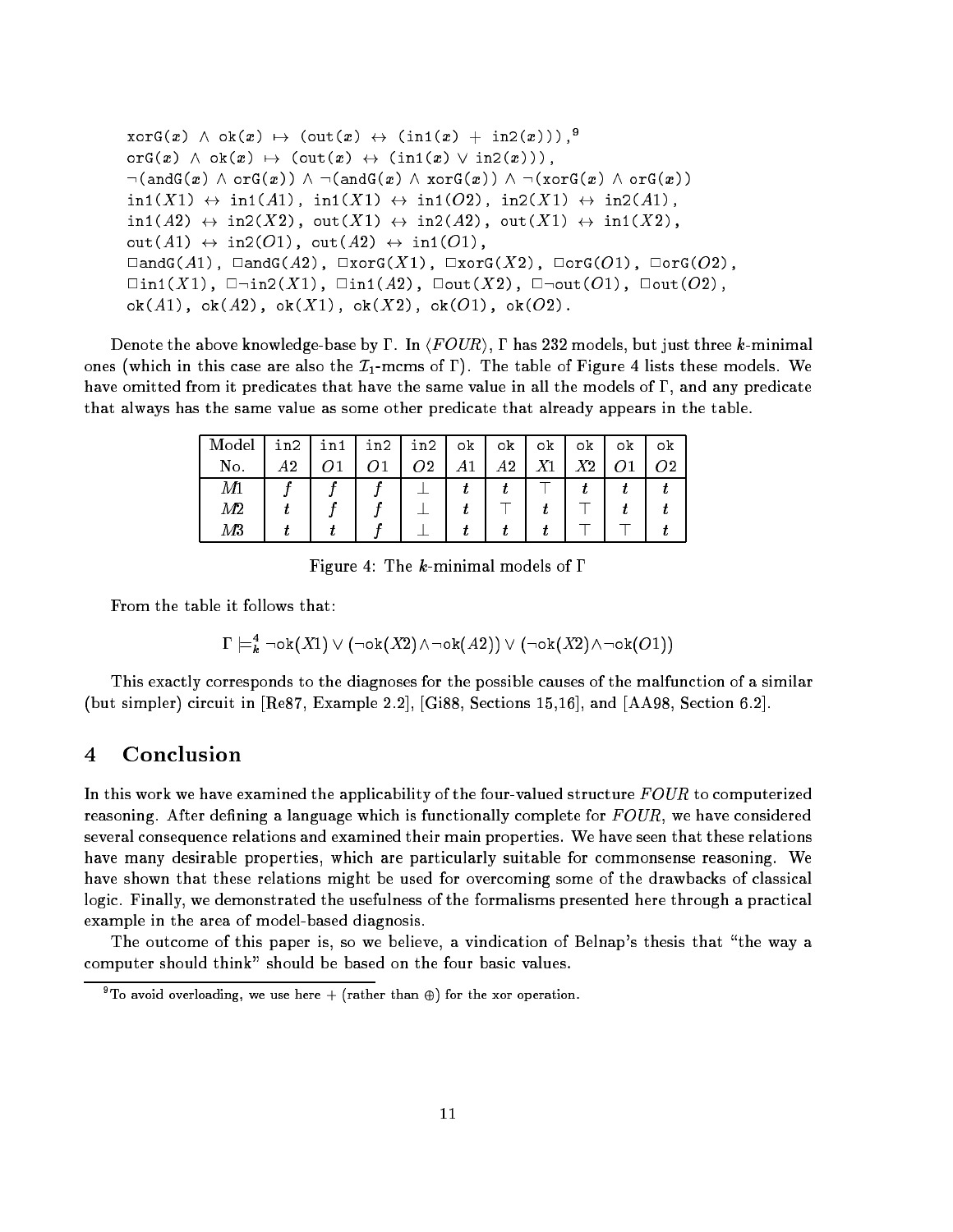```
\mathrm{xorG}(x) \ \wedge \ \mathrm{ok}(x) \ \mapsto \ (\mathrm{out}(x) \ \leftrightarrow \ (\mathrm{in1}(x) \ + \ \mathrm{in2}(x))),<sup>9</sup>
\text{orG}(x) \land \text{ok}(x) \mapsto (\text{out}(x) \leftrightarrow (\text{in1}(x) \lor \text{in2}(x))),\neg(\texttt{andG}(x) \land \texttt{orG}(x)) \land \neg(\texttt{andG}(x) \land \texttt{xorG}(x)) \land \neg(\texttt{xorG}(x) \land \texttt{orG}(x))\text{in1}(X1) \leftrightarrow \text{in1}(A1), \text{in1}(X1) \leftrightarrow \text{in1}(O2), \text{in2}(X1) \leftrightarrow \text{in2}(A1),
\text{in1}(A2) \leftrightarrow \text{in2}(X2), \text{out}(X1) \leftrightarrow \text{in2}(A2), \text{out}(X1) \leftrightarrow \text{in1}(X2),
\texttt{out}(A1) \leftrightarrow \texttt{in2}(O1), \texttt{out}(A2) \leftrightarrow \texttt{in1}(O1),
\BoxandG(A1), \BoxandG(A2), \BoxxorG(X1), \BoxxorG(X2), \BoxorG(O1), \BoxorG(O2),
\Boxin1(X1), \Boxin2(X1), \Boxin1(A2), \Boxout(X2), \Box\Boxout(O1), \Boxout(O2),
ok(A1), ok(A2), ok(X1), ok(X2), ok(O1), ok(O2).
```
Denote the above knowledge-base by  $\Gamma$ . In  $\langle FOUR\rangle$ ,  $\Gamma$  has 232 models, but just three k-minimal ones (which in this case are also the  $\mathcal{I}_1$ -mcms of  $\Gamma$ ). The table of Figure 4 lists these models. We have omitted from it predicates that have the same value in all the models of  $\Gamma$ , and any predicate that always has the same value as some other predicate that already appears in the table.

| Model  | in2 | in1 | in2 | in2 | οk | οk | οk | οk | оk | оk |
|--------|-----|-----|-----|-----|----|----|----|----|----|----|
| No.    | 49  |     |     | າາ  |    | А2 |    | V۹ |    |    |
| M1     |     |     |     |     |    |    |    |    |    |    |
| $M\!2$ |     |     |     |     |    |    |    |    |    |    |
| $M\!3$ |     |     |     |     |    |    |    |    |    |    |

Figure 4: The k-minimal models of  $\Gamma$ 

From the table it follows that:

$$
\Gamma \models^4_k \neg \mathsf{ok}(X1) \lor (\neg \mathsf{ok}(X2) \land \neg \mathsf{ok}(A2)) \lor (\neg \mathsf{ok}(X2) \land \neg \mathsf{ok}(O1))
$$

This exactly corresponds to the diagnoses for the possible causes of the malfunction of a similar (but simpler) circuit in [Re87, Example 2.2], [Gi88, Sections 15,16], and [AA98, Section 6.2].

#### 4Conclusion

In this work we have examined the applicability of the four-valued structure  $FOUR$  to computerized reasoning. After defining a language which is functionally complete for  $FOUR$ , we have considered several consequence relations and examined their main properties. We have seen that these relations have many desirable properties, which are particularly suitable for commonsense reasoning. We have shown that these relations might be used for overcoming some of the drawbacks of classical logic. Finally, we demonstrated the usefulness of the formalisms presented here through a practical example in the area of model-based diagnosis.

The outcome of this paper is, so we believe, a vindication of Belnap's thesis that "the way a computer should think" should be based on the four basic values.

To avoid overloading, we use here  $+$  (rather than  $\oplus$ ) for the xor operation.